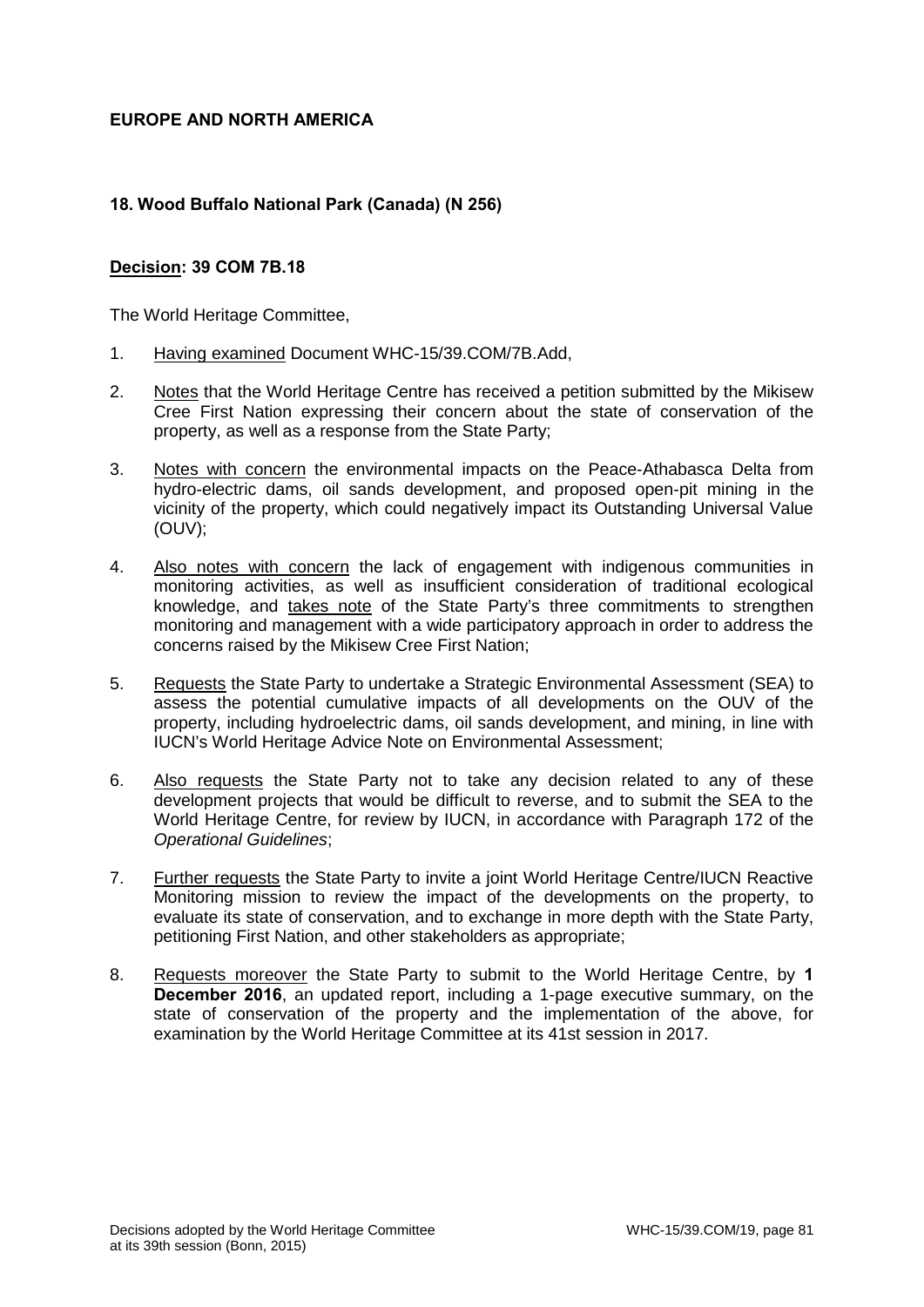# **EUROPE AND NORTH AMERICA**

# **18. Wood Buffalo National Park (Canada) (N 256)**

### **Decision: 39 COM 7B.18**

The World Heritage Committee,

- 1. Having examined Document WHC-15/39.COM/7B.Add,
- 2. Notes that the World Heritage Centre has received a petition submitted by the Mikisew Cree First Nation expressing their concern about the state of conservation of the property, as well as a response from the State Party;
- 3. Notes with concern the environmental impacts on the Peace-Athabasca Delta from hydro-electric dams, oil sands development, and proposed open-pit mining in the vicinity of the property, which could negatively impact its Outstanding Universal Value (OUV);
- 4. Also notes with concern the lack of engagement with indigenous communities in monitoring activities, as well as insufficient consideration of traditional ecological knowledge, and takes note of the State Party's three commitments to strengthen monitoring and management with a wide participatory approach in order to address the concerns raised by the Mikisew Cree First Nation;
- 5. Requests the State Party to undertake a Strategic Environmental Assessment (SEA) to assess the potential cumulative impacts of all developments on the OUV of the property, including hydroelectric dams, oil sands development, and mining, in line with IUCN's World Heritage Advice Note on Environmental Assessment;
- 6. Also requests the State Party not to take any decision related to any of these development projects that would be difficult to reverse, and to submit the SEA to the World Heritage Centre, for review by IUCN, in accordance with Paragraph 172 of the *Operational Guidelines*;
- 7. Further requests the State Party to invite a joint World Heritage Centre/IUCN Reactive Monitoring mission to review the impact of the developments on the property, to evaluate its state of conservation, and to exchange in more depth with the State Party, petitioning First Nation, and other stakeholders as appropriate;
- 8. Requests moreover the State Party to submit to the World Heritage Centre, by **1 December 2016**, an updated report, including a 1-page executive summary, on the state of conservation of the property and the implementation of the above, for examination by the World Heritage Committee at its 41st session in 2017.